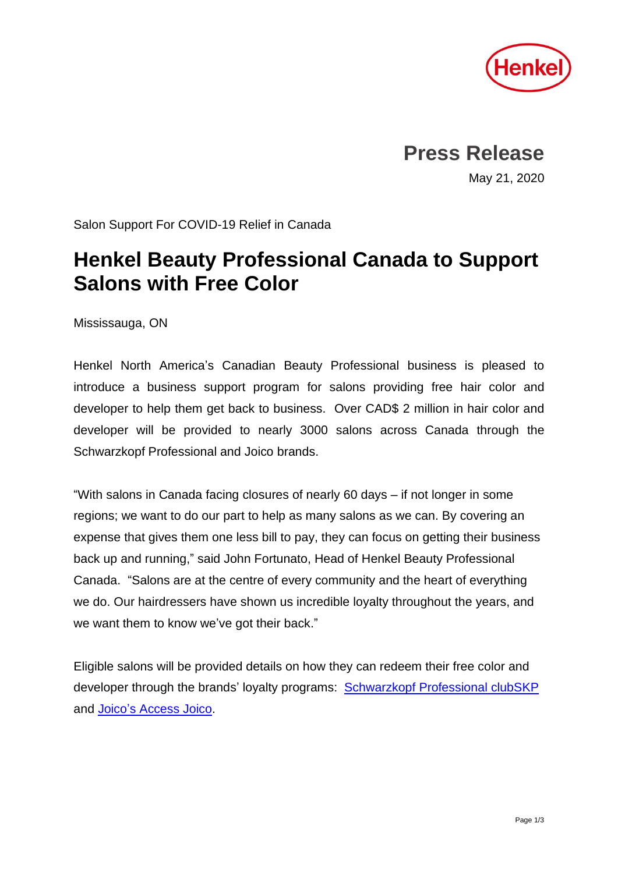

**Press Release**

May 21, 2020

Salon Support For COVID-19 Relief in Canada

## **Henkel Beauty Professional Canada to Support Salons with Free Color**

Mississauga, ON

Henkel North America's Canadian Beauty Professional business is pleased to introduce a business support program for salons providing free hair color and developer to help them get back to business. Over CAD\$ 2 million in hair color and developer will be provided to nearly 3000 salons across Canada through the Schwarzkopf Professional and Joico brands.

"With salons in Canada facing closures of nearly 60 days – if not longer in some regions; we want to do our part to help as many salons as we can. By covering an expense that gives them one less bill to pay, they can focus on getting their business back up and running," said John Fortunato, Head of Henkel Beauty Professional Canada. "Salons are at the centre of every community and the heart of everything we do. Our hairdressers have shown us incredible loyalty throughout the years, and we want them to know we've got their back."

Eligible salons will be provided details on how they can redeem their free color and developer through the brands' loyalty programs: [Schwarzkopf Professional clubSKP](https://myskp.com/ca) and [Joico's Access Joico.](http://accessjoico.ca/index.php/)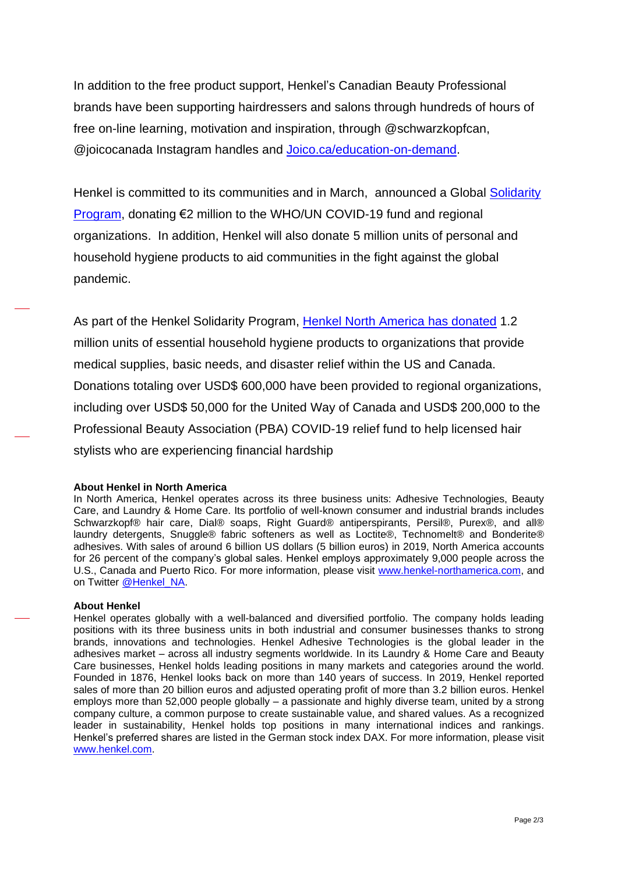In addition to the free product support, Henkel's Canadian Beauty Professional brands have been supporting hairdressers and salons through hundreds of hours of free on-line learning, motivation and inspiration, through @schwarzkopfcan, @joicocanada Instagram handles and [Joico.ca/education-on-demand.](https://www.joico.ca/education-on-demand/)

Henkel is committed to its communities and in March, announced a Global [Solidarity](https://www.henkel-northamerica.com/press/press-releases-and-kits/2020-24-03-henkel-launches-comprehensive-global-solidarity-program-to-support-employees-customers-and-affected-communities-1047890)  [Program,](https://www.henkel-northamerica.com/press/press-releases-and-kits/2020-24-03-henkel-launches-comprehensive-global-solidarity-program-to-support-employees-customers-and-affected-communities-1047890) donating €2 million to the WHO/UN COVID-19 fund and regional organizations. In addition, Henkel will also donate 5 million units of personal and household hygiene products to aid communities in the fight against the global pandemic.

As part of the Henkel Solidarity Program, [Henkel North America](https://www.henkel-northamerica.com/press/press-releases-and-kits/2020-30-04-henkel-north-america-announces-covid-19-support-for-employees-and-communities-1058722) has donated 1.2 million units of essential household hygiene products to organizations that provide medical supplies, basic needs, and disaster relief within the US and Canada. Donations totaling over USD\$ 600,000 have been provided to regional organizations, including over USD\$ 50,000 for the United Way of Canada and USD\$ 200,000 to the Professional Beauty Association (PBA) COVID-19 relief fund to help licensed hair stylists who are experiencing financial hardship

## **About Henkel in North America**

In North America, Henkel operates across its three business units: Adhesive Technologies, Beauty Care, and Laundry & Home Care. Its portfolio of well-known consumer and industrial brands includes Schwarzkopf® hair care, Dial® soaps, Right Guard® antiperspirants, Persil®, Purex®, and all® laundry detergents, Snuggle® fabric softeners as well as Loctite®, Technomelt® and Bonderite® adhesives. With sales of around 6 billion US dollars (5 billion euros) in 2019, North America accounts for 26 percent of the company's global sales. Henkel employs approximately 9,000 people across the U.S., Canada and Puerto Rico. For more information, please visit [www.henkel-northamerica.com,](http://www.henkel-northamerica.com/) and on Twitter [@Henkel\\_NA.](https://twitter.com/Henkel_NA)

## **About Henkel**

Henkel operates globally with a well-balanced and diversified portfolio. The company holds leading positions with its three business units in both industrial and consumer businesses thanks to strong brands, innovations and technologies. Henkel Adhesive Technologies is the global leader in the adhesives market – across all industry segments worldwide. In its Laundry & Home Care and Beauty Care businesses, Henkel holds leading positions in many markets and categories around the world. Founded in 1876, Henkel looks back on more than 140 years of success. In 2019, Henkel reported sales of more than 20 billion euros and adjusted operating profit of more than 3.2 billion euros. Henkel employs more than 52,000 people globally – a passionate and highly diverse team, united by a strong company culture, a common purpose to create sustainable value, and shared values. As a recognized leader in sustainability, Henkel holds top positions in many international indices and rankings. Henkel's preferred shares are listed in the German stock index DAX. For more information, please visit [www.henkel.com.](http://www.henkel.com/)